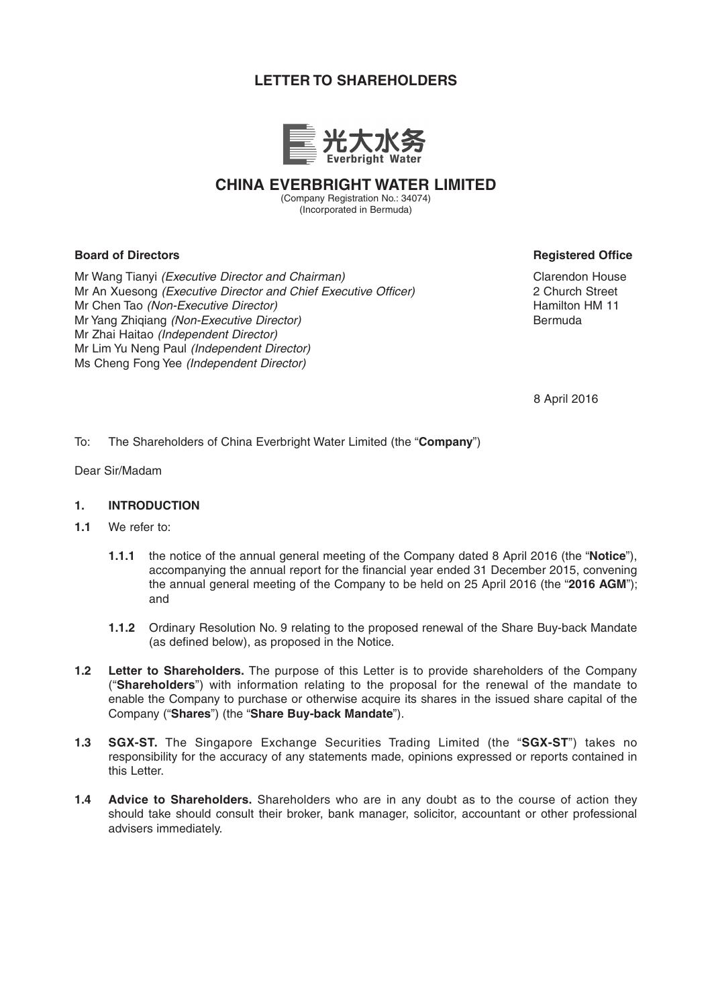# **LETTER TO SHAREHOLDERS**



**CHINA EVERBRIGHT WATER LIMITED**

(Company Registration No.: 34074) (Incorporated in Bermuda)

# **Board of Directors Registered Office**

Mr Wang Tianyi *(Executive Director and Chairman)* Mr An Xuesong *(Executive Director and Chief Executive Officer)* Mr Chen Tao *(Non-Executive Director)* Mr Yang Zhiqiang *(Non-Executive Director)* Mr Zhai Haitao *(Independent Director)* Mr Lim Yu Neng Paul *(Independent Director)* Ms Cheng Fong Yee *(Independent Director)*

Clarendon House 2 Church Street Hamilton HM 11 Bermuda

8 April 2016

To: The Shareholders of China Everbright Water Limited (the "**Company**")

Dear Sir/Madam

## **1. INTRODUCTION**

- **1.1** We refer to:
	- **1.1.1** the notice of the annual general meeting of the Company dated 8 April 2016 (the "**Notice**"), accompanying the annual report for the financial year ended 31 December 2015, convening the annual general meeting of the Company to be held on 25 April 2016 (the "**2016 AGM**"); and
	- **1.1.2** Ordinary Resolution No. 9 relating to the proposed renewal of the Share Buy-back Mandate (as defined below), as proposed in the Notice.
- **1.2 Letter to Shareholders.** The purpose of this Letter is to provide shareholders of the Company ("**Shareholders**") with information relating to the proposal for the renewal of the mandate to enable the Company to purchase or otherwise acquire its shares in the issued share capital of the Company ("**Shares**") (the "**Share Buy-back Mandate**").
- **1.3 SGX-ST.** The Singapore Exchange Securities Trading Limited (the "**SGX-ST**") takes no responsibility for the accuracy of any statements made, opinions expressed or reports contained in this Letter.
- **1.4 Advice to Shareholders.** Shareholders who are in any doubt as to the course of action they should take should consult their broker, bank manager, solicitor, accountant or other professional advisers immediately.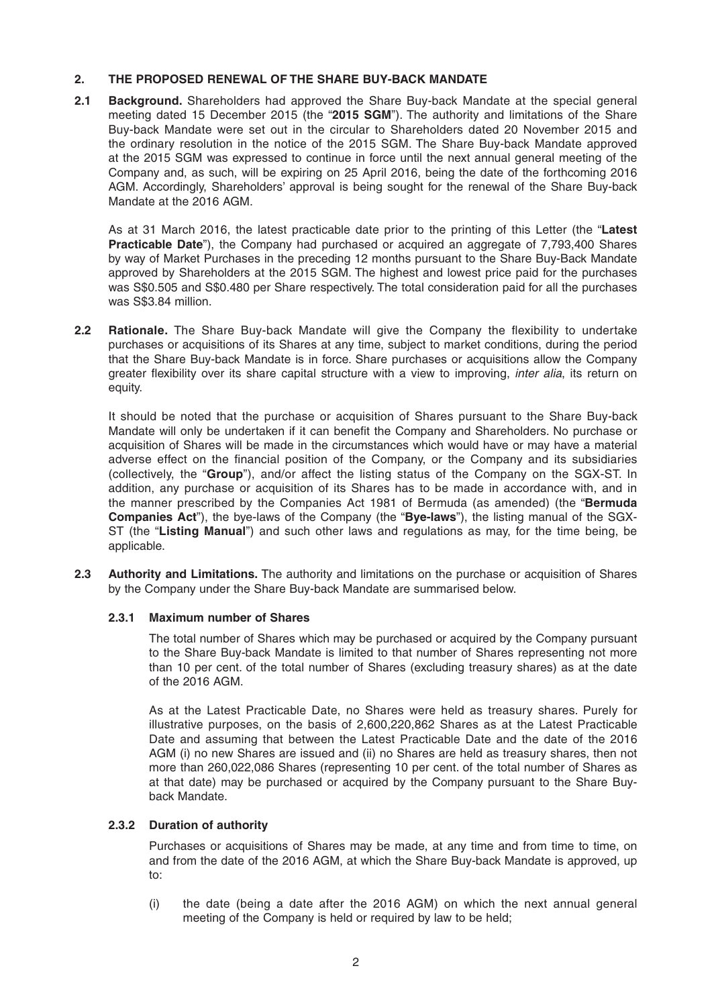# **2. THE PROPOSED RENEWAL OF THE SHARE BUY-BACK MANDATE**

**2.1 Background.** Shareholders had approved the Share Buy-back Mandate at the special general meeting dated 15 December 2015 (the "**2015 SGM**"). The authority and limitations of the Share Buy-back Mandate were set out in the circular to Shareholders dated 20 November 2015 and the ordinary resolution in the notice of the 2015 SGM. The Share Buy-back Mandate approved at the 2015 SGM was expressed to continue in force until the next annual general meeting of the Company and, as such, will be expiring on 25 April 2016, being the date of the forthcoming 2016 AGM. Accordingly, Shareholders' approval is being sought for the renewal of the Share Buy-back Mandate at the 2016 AGM.

As at 31 March 2016, the latest practicable date prior to the printing of this Letter (the "**Latest Practicable Date**"), the Company had purchased or acquired an aggregate of 7,793,400 Shares by way of Market Purchases in the preceding 12 months pursuant to the Share Buy-Back Mandate approved by Shareholders at the 2015 SGM. The highest and lowest price paid for the purchases was S\$0.505 and S\$0.480 per Share respectively. The total consideration paid for all the purchases was S\$3.84 million.

**2.2 Rationale.** The Share Buy-back Mandate will give the Company the flexibility to undertake purchases or acquisitions of its Shares at any time, subject to market conditions, during the period that the Share Buy-back Mandate is in force. Share purchases or acquisitions allow the Company greater flexibility over its share capital structure with a view to improving, *inter alia*, its return on equity.

It should be noted that the purchase or acquisition of Shares pursuant to the Share Buy-back Mandate will only be undertaken if it can benefit the Company and Shareholders. No purchase or acquisition of Shares will be made in the circumstances which would have or may have a material adverse effect on the financial position of the Company, or the Company and its subsidiaries (collectively, the "**Group**"), and/or affect the listing status of the Company on the SGX-ST. In addition, any purchase or acquisition of its Shares has to be made in accordance with, and in the manner prescribed by the Companies Act 1981 of Bermuda (as amended) (the "**Bermuda Companies Act**"), the bye-laws of the Company (the "**Bye-laws**"), the listing manual of the SGX-ST (the "**Listing Manual**") and such other laws and regulations as may, for the time being, be applicable.

**2.3 Authority and Limitations.** The authority and limitations on the purchase or acquisition of Shares by the Company under the Share Buy-back Mandate are summarised below.

# **2.3.1 Maximum number of Shares**

 The total number of Shares which may be purchased or acquired by the Company pursuant to the Share Buy-back Mandate is limited to that number of Shares representing not more than 10 per cent. of the total number of Shares (excluding treasury shares) as at the date of the 2016 AGM.

 As at the Latest Practicable Date, no Shares were held as treasury shares. Purely for illustrative purposes, on the basis of 2,600,220,862 Shares as at the Latest Practicable Date and assuming that between the Latest Practicable Date and the date of the 2016 AGM (i) no new Shares are issued and (ii) no Shares are held as treasury shares, then not more than 260,022,086 Shares (representing 10 per cent. of the total number of Shares as at that date) may be purchased or acquired by the Company pursuant to the Share Buyback Mandate.

# **2.3.2 Duration of authority**

 Purchases or acquisitions of Shares may be made, at any time and from time to time, on and from the date of the 2016 AGM, at which the Share Buy-back Mandate is approved, up to:

 (i) the date (being a date after the 2016 AGM) on which the next annual general meeting of the Company is held or required by law to be held;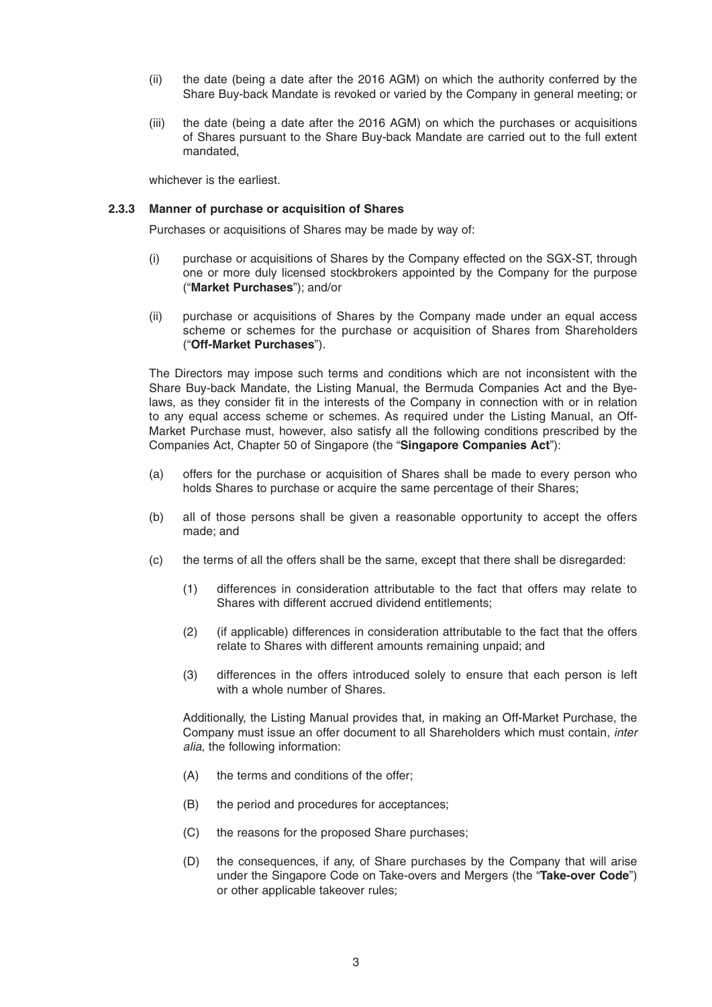- (ii) the date (being a date after the 2016 AGM) on which the authority conferred by the Share Buy-back Mandate is revoked or varied by the Company in general meeting; or
- (iii) the date (being a date after the 2016 AGM) on which the purchases or acquisitions of Shares pursuant to the Share Buy-back Mandate are carried out to the full extent mandated,

whichever is the earliest.

#### **2.3.3 Manner of purchase or acquisition of Shares**

Purchases or acquisitions of Shares may be made by way of:

- (i) purchase or acquisitions of Shares by the Company effected on the SGX-ST, through one or more duly licensed stockbrokers appointed by the Company for the purpose ("**Market Purchases**"); and/or
- (ii) purchase or acquisitions of Shares by the Company made under an equal access scheme or schemes for the purchase or acquisition of Shares from Shareholders ("**Off-Market Purchases**").

 The Directors may impose such terms and conditions which are not inconsistent with the Share Buy-back Mandate, the Listing Manual, the Bermuda Companies Act and the Byelaws, as they consider fit in the interests of the Company in connection with or in relation to any equal access scheme or schemes. As required under the Listing Manual, an Off-Market Purchase must, however, also satisfy all the following conditions prescribed by the Companies Act, Chapter 50 of Singapore (the "**Singapore Companies Act**"):

- (a) offers for the purchase or acquisition of Shares shall be made to every person who holds Shares to purchase or acquire the same percentage of their Shares;
- (b) all of those persons shall be given a reasonable opportunity to accept the offers made; and
- (c) the terms of all the offers shall be the same, except that there shall be disregarded:
	- (1) differences in consideration attributable to the fact that offers may relate to Shares with different accrued dividend entitlements;
	- (2) (if applicable) differences in consideration attributable to the fact that the offers relate to Shares with different amounts remaining unpaid; and
	- (3) differences in the offers introduced solely to ensure that each person is left with a whole number of Shares.

 Additionally, the Listing Manual provides that, in making an Off-Market Purchase, the Company must issue an offer document to all Shareholders which must contain, *inter alia*, the following information:

- (A) the terms and conditions of the offer;
- (B) the period and procedures for acceptances;
- (C) the reasons for the proposed Share purchases;
- (D) the consequences, if any, of Share purchases by the Company that will arise under the Singapore Code on Take-overs and Mergers (the "**Take-over Code**") or other applicable takeover rules;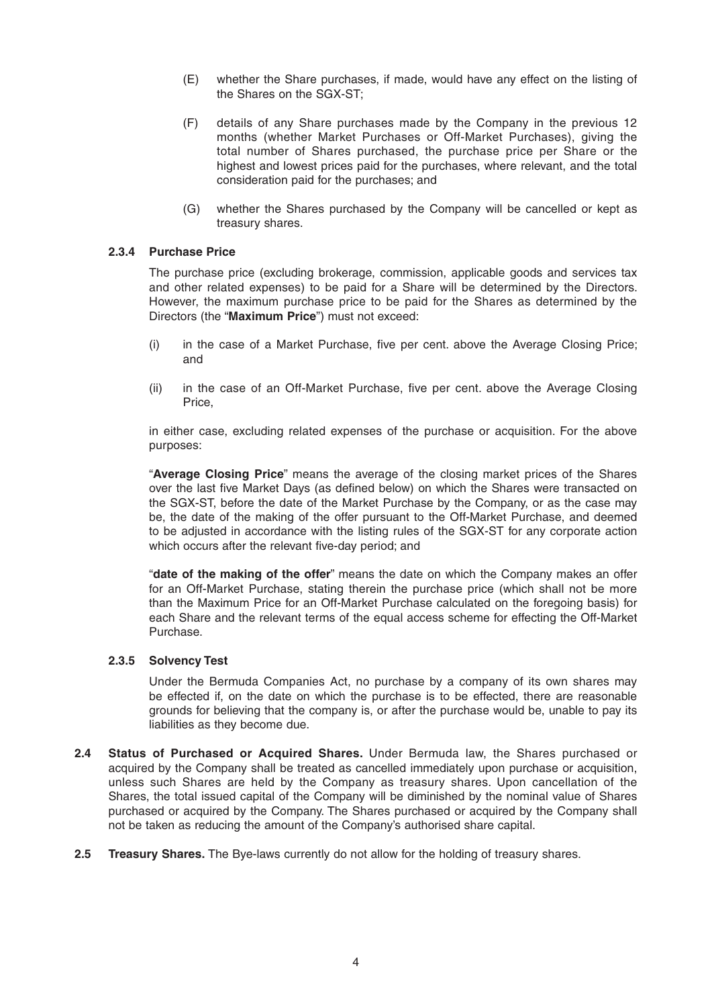- (E) whether the Share purchases, if made, would have any effect on the listing of the Shares on the SGX-ST;
- (F) details of any Share purchases made by the Company in the previous 12 months (whether Market Purchases or Off-Market Purchases), giving the total number of Shares purchased, the purchase price per Share or the highest and lowest prices paid for the purchases, where relevant, and the total consideration paid for the purchases; and
- (G) whether the Shares purchased by the Company will be cancelled or kept as treasury shares.

#### **2.3.4 Purchase Price**

 The purchase price (excluding brokerage, commission, applicable goods and services tax and other related expenses) to be paid for a Share will be determined by the Directors. However, the maximum purchase price to be paid for the Shares as determined by the Directors (the "**Maximum Price**") must not exceed:

- (i) in the case of a Market Purchase, five per cent. above the Average Closing Price; and
- (ii) in the case of an Off-Market Purchase, five per cent. above the Average Closing Price,

 in either case, excluding related expenses of the purchase or acquisition. For the above purposes:

 "**Average Closing Price**" means the average of the closing market prices of the Shares over the last five Market Days (as defined below) on which the Shares were transacted on the SGX-ST, before the date of the Market Purchase by the Company, or as the case may be, the date of the making of the offer pursuant to the Off-Market Purchase, and deemed to be adjusted in accordance with the listing rules of the SGX-ST for any corporate action which occurs after the relevant five-day period; and

 "**date of the making of the offer**" means the date on which the Company makes an offer for an Off-Market Purchase, stating therein the purchase price (which shall not be more than the Maximum Price for an Off-Market Purchase calculated on the foregoing basis) for each Share and the relevant terms of the equal access scheme for effecting the Off-Market Purchase.

#### **2.3.5 Solvency Test**

 Under the Bermuda Companies Act, no purchase by a company of its own shares may be effected if, on the date on which the purchase is to be effected, there are reasonable grounds for believing that the company is, or after the purchase would be, unable to pay its liabilities as they become due.

- **2.4 Status of Purchased or Acquired Shares.** Under Bermuda law, the Shares purchased or acquired by the Company shall be treated as cancelled immediately upon purchase or acquisition, unless such Shares are held by the Company as treasury shares. Upon cancellation of the Shares, the total issued capital of the Company will be diminished by the nominal value of Shares purchased or acquired by the Company. The Shares purchased or acquired by the Company shall not be taken as reducing the amount of the Company's authorised share capital.
- **2.5 Treasury Shares.** The Bye-laws currently do not allow for the holding of treasury shares.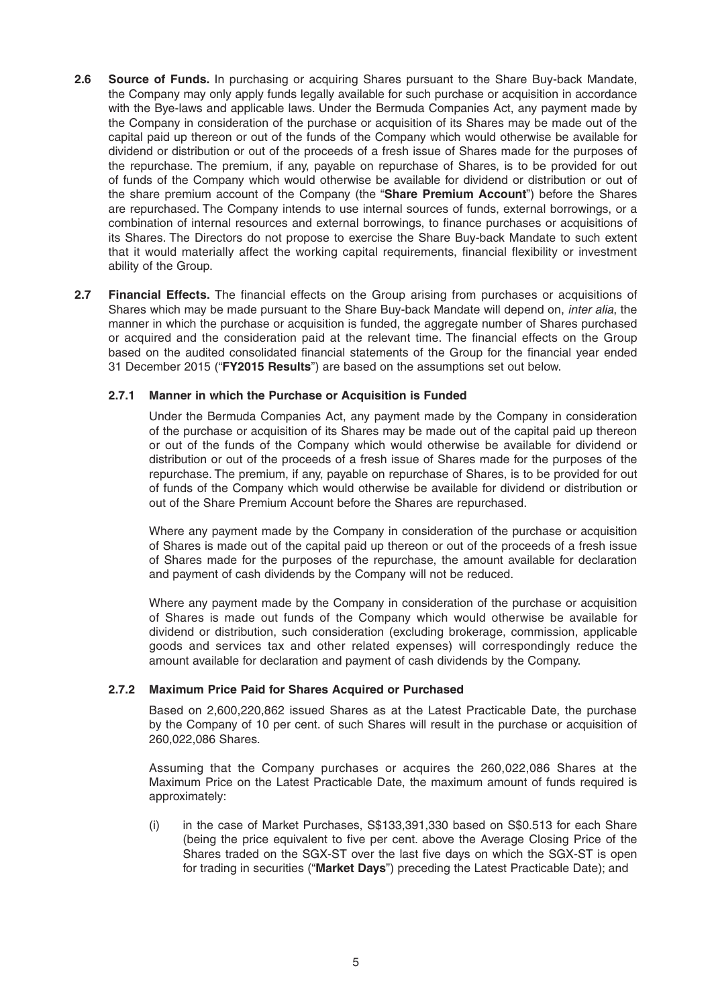- **2.6 Source of Funds.** In purchasing or acquiring Shares pursuant to the Share Buy-back Mandate, the Company may only apply funds legally available for such purchase or acquisition in accordance with the Bye-laws and applicable laws. Under the Bermuda Companies Act, any payment made by the Company in consideration of the purchase or acquisition of its Shares may be made out of the capital paid up thereon or out of the funds of the Company which would otherwise be available for dividend or distribution or out of the proceeds of a fresh issue of Shares made for the purposes of the repurchase. The premium, if any, payable on repurchase of Shares, is to be provided for out of funds of the Company which would otherwise be available for dividend or distribution or out of the share premium account of the Company (the "**Share Premium Account**") before the Shares are repurchased. The Company intends to use internal sources of funds, external borrowings, or a combination of internal resources and external borrowings, to finance purchases or acquisitions of its Shares. The Directors do not propose to exercise the Share Buy-back Mandate to such extent that it would materially affect the working capital requirements, financial flexibility or investment ability of the Group.
- **2.7 Financial Effects.** The financial effects on the Group arising from purchases or acquisitions of Shares which may be made pursuant to the Share Buy-back Mandate will depend on, *inter alia*, the manner in which the purchase or acquisition is funded, the aggregate number of Shares purchased or acquired and the consideration paid at the relevant time. The financial effects on the Group based on the audited consolidated financial statements of the Group for the financial year ended 31 December 2015 ("**FY2015 Results**") are based on the assumptions set out below.

### **2.7.1 Manner in which the Purchase or Acquisition is Funded**

 Under the Bermuda Companies Act, any payment made by the Company in consideration of the purchase or acquisition of its Shares may be made out of the capital paid up thereon or out of the funds of the Company which would otherwise be available for dividend or distribution or out of the proceeds of a fresh issue of Shares made for the purposes of the repurchase. The premium, if any, payable on repurchase of Shares, is to be provided for out of funds of the Company which would otherwise be available for dividend or distribution or out of the Share Premium Account before the Shares are repurchased.

 Where any payment made by the Company in consideration of the purchase or acquisition of Shares is made out of the capital paid up thereon or out of the proceeds of a fresh issue of Shares made for the purposes of the repurchase, the amount available for declaration and payment of cash dividends by the Company will not be reduced.

 Where any payment made by the Company in consideration of the purchase or acquisition of Shares is made out funds of the Company which would otherwise be available for dividend or distribution, such consideration (excluding brokerage, commission, applicable goods and services tax and other related expenses) will correspondingly reduce the amount available for declaration and payment of cash dividends by the Company.

#### **2.7.2 Maximum Price Paid for Shares Acquired or Purchased**

 Based on 2,600,220,862 issued Shares as at the Latest Practicable Date, the purchase by the Company of 10 per cent. of such Shares will result in the purchase or acquisition of 260,022,086 Shares.

 Assuming that the Company purchases or acquires the 260,022,086 Shares at the Maximum Price on the Latest Practicable Date, the maximum amount of funds required is approximately:

 (i) in the case of Market Purchases, S\$133,391,330 based on S\$0.513 for each Share (being the price equivalent to five per cent. above the Average Closing Price of the Shares traded on the SGX-ST over the last five days on which the SGX-ST is open for trading in securities ("**Market Days**") preceding the Latest Practicable Date); and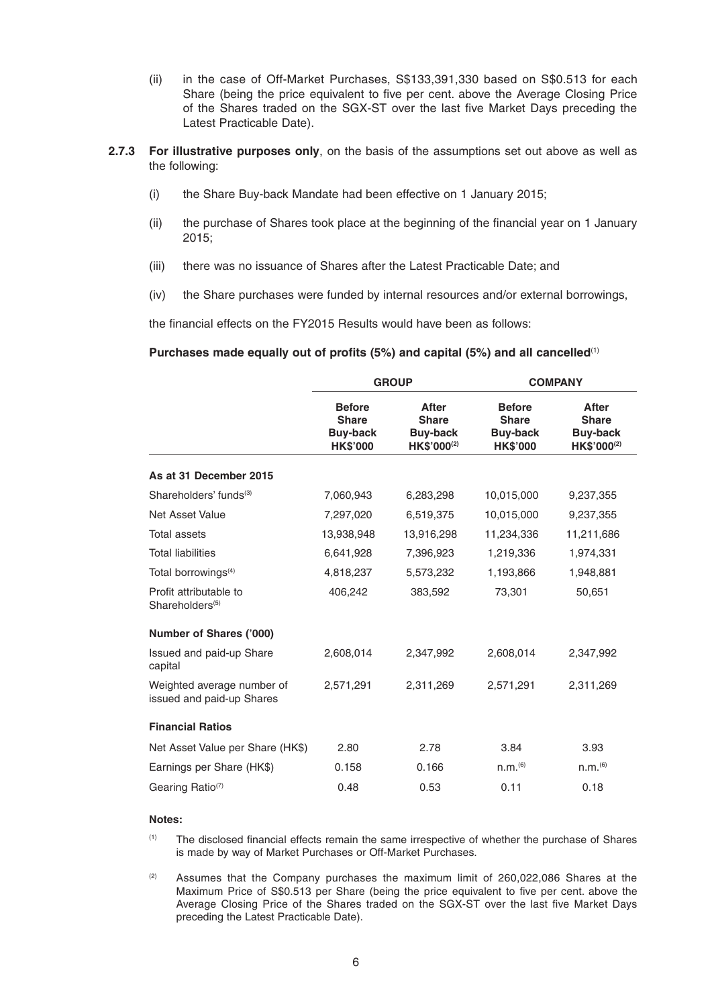- (ii) in the case of Off-Market Purchases, S\$133,391,330 based on S\$0.513 for each Share (being the price equivalent to five per cent. above the Average Closing Price of the Shares traded on the SGX-ST over the last five Market Days preceding the Latest Practicable Date).
- **2.7.3 For illustrative purposes only**, on the basis of the assumptions set out above as well as the following:
	- (i) the Share Buy-back Mandate had been effective on 1 January 2015;
	- (ii) the purchase of Shares took place at the beginning of the financial year on 1 January 2015;
	- (iii) there was no issuance of Shares after the Latest Practicable Date; and
	- (iv) the Share purchases were funded by internal resources and/or external borrowings,

the financial effects on the FY2015 Results would have been as follows:

#### **Purchases made equally out of profits (5%) and capital (5%) and all cancelled**(1)

|                                                         | <b>GROUP</b>                                                        |                                                                            | <b>COMPANY</b>                                                      |                                                                            |
|---------------------------------------------------------|---------------------------------------------------------------------|----------------------------------------------------------------------------|---------------------------------------------------------------------|----------------------------------------------------------------------------|
|                                                         | <b>Before</b><br><b>Share</b><br><b>Buy-back</b><br><b>HK\$'000</b> | <b>After</b><br><b>Share</b><br><b>Buy-back</b><br>HK\$'000 <sup>(2)</sup> | <b>Before</b><br><b>Share</b><br><b>Buy-back</b><br><b>HK\$'000</b> | <b>After</b><br><b>Share</b><br><b>Buy-back</b><br>HK\$'000 <sup>(2)</sup> |
| As at 31 December 2015                                  |                                                                     |                                                                            |                                                                     |                                                                            |
| Shareholders' funds <sup>(3)</sup>                      | 7,060,943                                                           | 6,283,298                                                                  | 10,015,000                                                          | 9,237,355                                                                  |
| <b>Net Asset Value</b>                                  | 7,297,020                                                           | 6,519,375                                                                  | 10,015,000                                                          | 9,237,355                                                                  |
| <b>Total assets</b>                                     | 13,938,948                                                          | 13,916,298                                                                 | 11,234,336                                                          | 11,211,686                                                                 |
| <b>Total liabilities</b>                                | 6,641,928                                                           | 7,396,923                                                                  | 1,219,336                                                           | 1,974,331                                                                  |
| Total borrowings <sup>(4)</sup>                         | 4,818,237                                                           | 5,573,232                                                                  | 1,193,866                                                           | 1,948,881                                                                  |
| Profit attributable to<br>Shareholders <sup>(5)</sup>   | 406,242                                                             | 383,592                                                                    | 73,301                                                              | 50,651                                                                     |
| Number of Shares ('000)                                 |                                                                     |                                                                            |                                                                     |                                                                            |
| Issued and paid-up Share<br>capital                     | 2,608,014                                                           | 2,347,992                                                                  | 2,608,014                                                           | 2,347,992                                                                  |
| Weighted average number of<br>issued and paid-up Shares | 2,571,291                                                           | 2,311,269                                                                  | 2,571,291                                                           | 2,311,269                                                                  |
| <b>Financial Ratios</b>                                 |                                                                     |                                                                            |                                                                     |                                                                            |
| Net Asset Value per Share (HK\$)                        | 2.80                                                                | 2.78                                                                       | 3.84                                                                | 3.93                                                                       |
| Earnings per Share (HK\$)                               | 0.158                                                               | 0.166                                                                      | n.m. <sup>(6)</sup>                                                 | n.m. <sup>(6)</sup>                                                        |
| Gearing Ratio <sup>(7)</sup>                            | 0.48                                                                | 0.53                                                                       | 0.11                                                                | 0.18                                                                       |

#### **Notes:**

 (1) The disclosed financial effects remain the same irrespective of whether the purchase of Shares is made by way of Market Purchases or Off-Market Purchases.

 $(2)$  Assumes that the Company purchases the maximum limit of 260,022,086 Shares at the Maximum Price of S\$0.513 per Share (being the price equivalent to five per cent. above the Average Closing Price of the Shares traded on the SGX-ST over the last five Market Days preceding the Latest Practicable Date).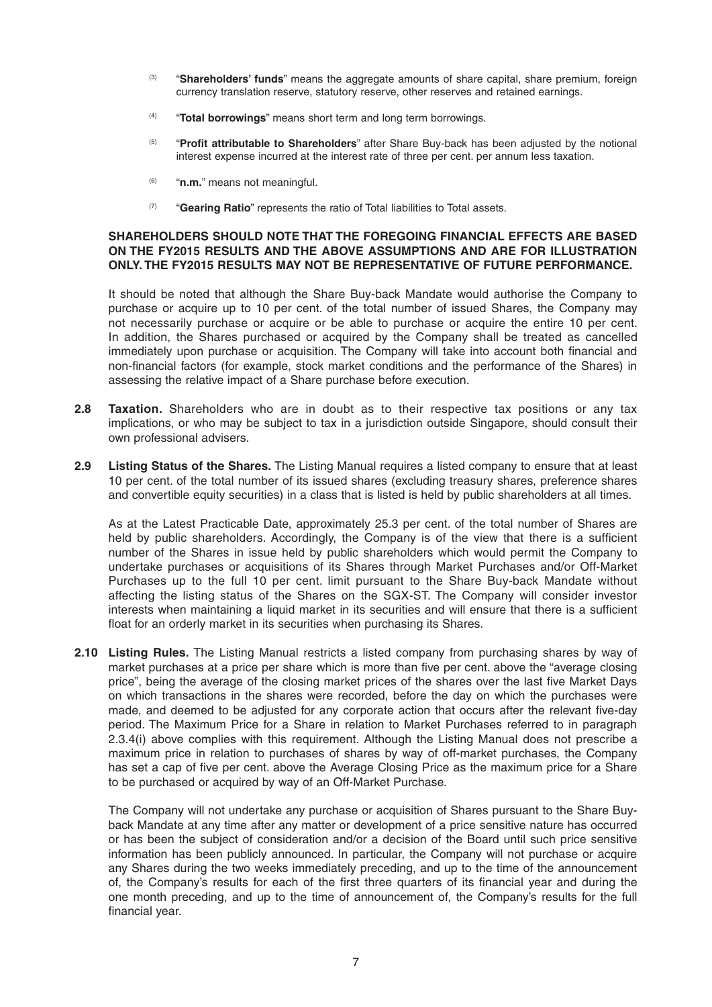- (3) "**Shareholders' funds**" means the aggregate amounts of share capital, share premium, foreign currency translation reserve, statutory reserve, other reserves and retained earnings.
- (4) "**Total borrowings**" means short term and long term borrowings.
- (5) "**Profit attributable to Shareholders**" after Share Buy-back has been adjusted by the notional interest expense incurred at the interest rate of three per cent. per annum less taxation.
- (6) "**n.m.**" means not meaningful.
- (7) "**Gearing Ratio**" represents the ratio of Total liabilities to Total assets.

#### **SHAREHOLDERS SHOULD NOTE THAT THE FOREGOING FINANCIAL EFFECTS ARE BASED ON THE FY2015 RESULTS AND THE ABOVE ASSUMPTIONS AND ARE FOR ILLUSTRATION ONLY. THE FY2015 RESULTS MAY NOT BE REPRESENTATIVE OF FUTURE PERFORMANCE.**

It should be noted that although the Share Buy-back Mandate would authorise the Company to purchase or acquire up to 10 per cent. of the total number of issued Shares, the Company may not necessarily purchase or acquire or be able to purchase or acquire the entire 10 per cent. In addition, the Shares purchased or acquired by the Company shall be treated as cancelled immediately upon purchase or acquisition. The Company will take into account both financial and non-financial factors (for example, stock market conditions and the performance of the Shares) in assessing the relative impact of a Share purchase before execution.

- **2.8 Taxation.** Shareholders who are in doubt as to their respective tax positions or any tax implications, or who may be subject to tax in a jurisdiction outside Singapore, should consult their own professional advisers.
- **2.9 Listing Status of the Shares.** The Listing Manual requires a listed company to ensure that at least 10 per cent. of the total number of its issued shares (excluding treasury shares, preference shares and convertible equity securities) in a class that is listed is held by public shareholders at all times.

As at the Latest Practicable Date, approximately 25.3 per cent. of the total number of Shares are held by public shareholders. Accordingly, the Company is of the view that there is a sufficient number of the Shares in issue held by public shareholders which would permit the Company to undertake purchases or acquisitions of its Shares through Market Purchases and/or Off-Market Purchases up to the full 10 per cent. limit pursuant to the Share Buy-back Mandate without affecting the listing status of the Shares on the SGX-ST. The Company will consider investor interests when maintaining a liquid market in its securities and will ensure that there is a sufficient float for an orderly market in its securities when purchasing its Shares.

**2.10 Listing Rules.** The Listing Manual restricts a listed company from purchasing shares by way of market purchases at a price per share which is more than five per cent. above the "average closing price", being the average of the closing market prices of the shares over the last five Market Days on which transactions in the shares were recorded, before the day on which the purchases were made, and deemed to be adjusted for any corporate action that occurs after the relevant five-day period. The Maximum Price for a Share in relation to Market Purchases referred to in paragraph 2.3.4(i) above complies with this requirement. Although the Listing Manual does not prescribe a maximum price in relation to purchases of shares by way of off-market purchases, the Company has set a cap of five per cent. above the Average Closing Price as the maximum price for a Share to be purchased or acquired by way of an Off-Market Purchase.

The Company will not undertake any purchase or acquisition of Shares pursuant to the Share Buyback Mandate at any time after any matter or development of a price sensitive nature has occurred or has been the subject of consideration and/or a decision of the Board until such price sensitive information has been publicly announced. In particular, the Company will not purchase or acquire any Shares during the two weeks immediately preceding, and up to the time of the announcement of, the Company's results for each of the first three quarters of its financial year and during the one month preceding, and up to the time of announcement of, the Company's results for the full financial year.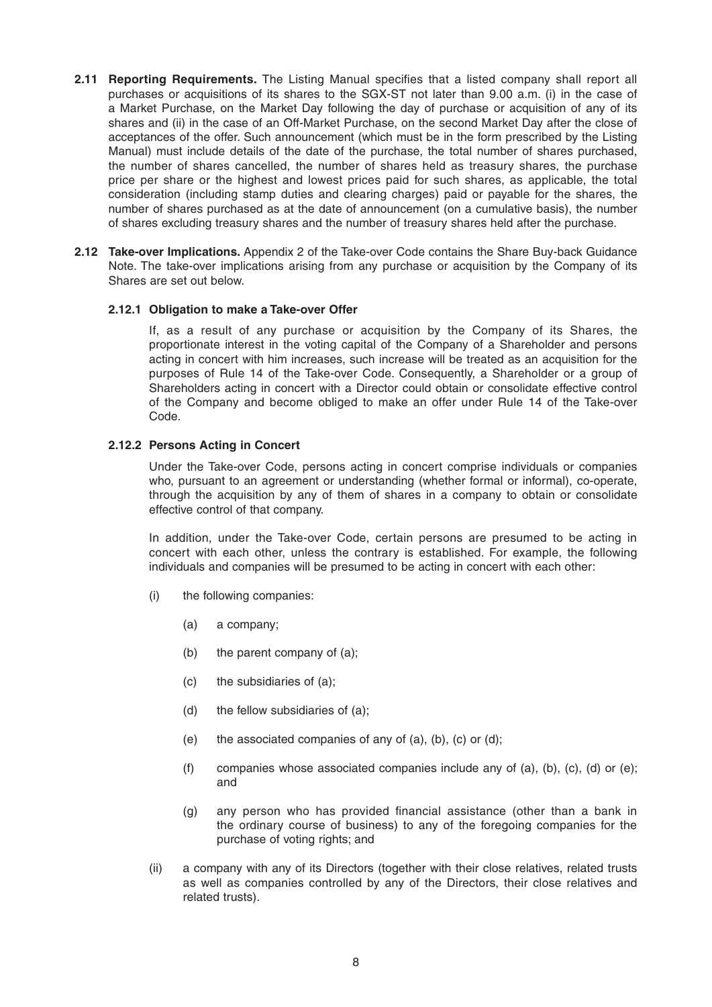- **2.11 Reporting Requirements.** The Listing Manual specifies that a listed company shall report all purchases or acquisitions of its shares to the SGX-ST not later than 9.00 a.m. (i) in the case of a Market Purchase, on the Market Day following the day of purchase or acquisition of any of its shares and (ii) in the case of an Off-Market Purchase, on the second Market Day after the close of acceptances of the offer. Such announcement (which must be in the form prescribed by the Listing Manual) must include details of the date of the purchase, the total number of shares purchased, the number of shares cancelled, the number of shares held as treasury shares, the purchase price per share or the highest and lowest prices paid for such shares, as applicable, the total consideration (including stamp duties and clearing charges) paid or payable for the shares, the number of shares purchased as at the date of announcement (on a cumulative basis), the number of shares excluding treasury shares and the number of treasury shares held after the purchase.
- **2.12 Take-over Implications.** Appendix 2 of the Take-over Code contains the Share Buy-back Guidance Note. The take-over implications arising from any purchase or acquisition by the Company of its Shares are set out below.

#### **2.12.1 Obligation to make a Take-over Offer**

 If, as a result of any purchase or acquisition by the Company of its Shares, the proportionate interest in the voting capital of the Company of a Shareholder and persons acting in concert with him increases, such increase will be treated as an acquisition for the purposes of Rule 14 of the Take-over Code. Consequently, a Shareholder or a group of Shareholders acting in concert with a Director could obtain or consolidate effective control of the Company and become obliged to make an offer under Rule 14 of the Take-over Code.

### **2.12.2 Persons Acting in Concert**

 Under the Take-over Code, persons acting in concert comprise individuals or companies who, pursuant to an agreement or understanding (whether formal or informal), co-operate, through the acquisition by any of them of shares in a company to obtain or consolidate effective control of that company.

 In addition, under the Take-over Code, certain persons are presumed to be acting in concert with each other, unless the contrary is established. For example, the following individuals and companies will be presumed to be acting in concert with each other:

- (i) the following companies:
	- (a) a company;
	- (b) the parent company of (a);
	- (c) the subsidiaries of (a);
	- (d) the fellow subsidiaries of (a);
	- (e) the associated companies of any of (a), (b), (c) or (d);
	- (f) companies whose associated companies include any of (a), (b), (c), (d) or (e); and
	- (g) any person who has provided financial assistance (other than a bank in the ordinary course of business) to any of the foregoing companies for the purchase of voting rights; and
- (ii) a company with any of its Directors (together with their close relatives, related trusts as well as companies controlled by any of the Directors, their close relatives and related trusts).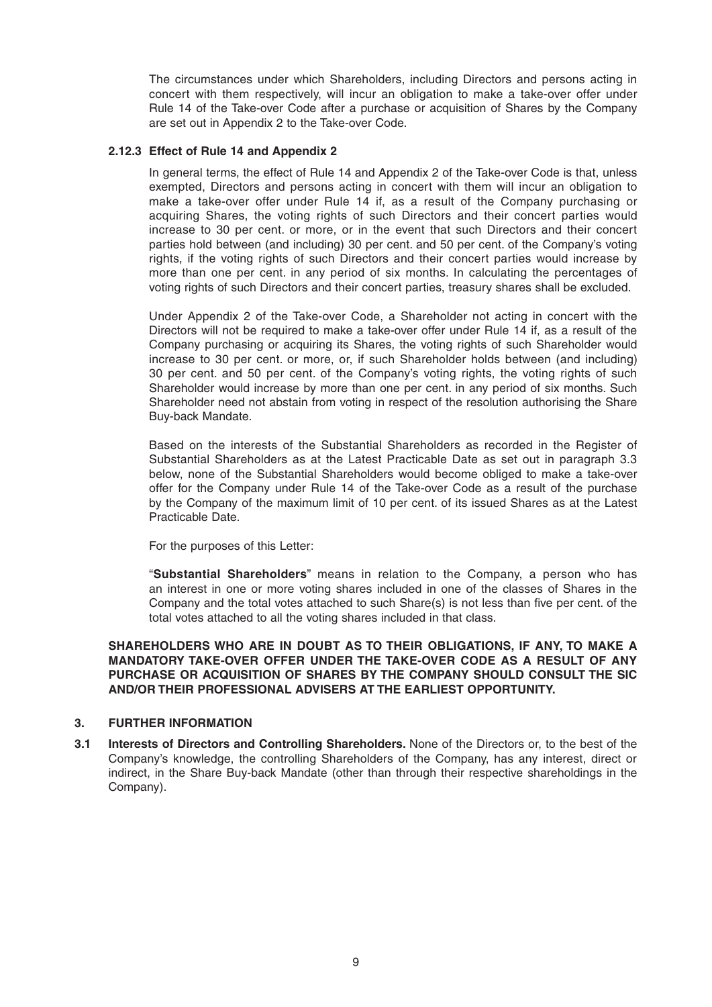The circumstances under which Shareholders, including Directors and persons acting in concert with them respectively, will incur an obligation to make a take-over offer under Rule 14 of the Take-over Code after a purchase or acquisition of Shares by the Company are set out in Appendix 2 to the Take-over Code.

### **2.12.3 Effect of Rule 14 and Appendix 2**

 In general terms, the effect of Rule 14 and Appendix 2 of the Take-over Code is that, unless exempted, Directors and persons acting in concert with them will incur an obligation to make a take-over offer under Rule 14 if, as a result of the Company purchasing or acquiring Shares, the voting rights of such Directors and their concert parties would increase to 30 per cent. or more, or in the event that such Directors and their concert parties hold between (and including) 30 per cent. and 50 per cent. of the Company's voting rights, if the voting rights of such Directors and their concert parties would increase by more than one per cent. in any period of six months. In calculating the percentages of voting rights of such Directors and their concert parties, treasury shares shall be excluded.

 Under Appendix 2 of the Take-over Code, a Shareholder not acting in concert with the Directors will not be required to make a take-over offer under Rule 14 if, as a result of the Company purchasing or acquiring its Shares, the voting rights of such Shareholder would increase to 30 per cent. or more, or, if such Shareholder holds between (and including) 30 per cent. and 50 per cent. of the Company's voting rights, the voting rights of such Shareholder would increase by more than one per cent. in any period of six months. Such Shareholder need not abstain from voting in respect of the resolution authorising the Share Buy-back Mandate.

 Based on the interests of the Substantial Shareholders as recorded in the Register of Substantial Shareholders as at the Latest Practicable Date as set out in paragraph 3.3 below, none of the Substantial Shareholders would become obliged to make a take-over offer for the Company under Rule 14 of the Take-over Code as a result of the purchase by the Company of the maximum limit of 10 per cent. of its issued Shares as at the Latest Practicable Date.

For the purposes of this Letter:

 "**Substantial Shareholders**" means in relation to the Company, a person who has an interest in one or more voting shares included in one of the classes of Shares in the Company and the total votes attached to such Share(s) is not less than five per cent. of the total votes attached to all the voting shares included in that class.

**SHAREHOLDERS WHO ARE IN DOUBT AS TO THEIR OBLIGATIONS, IF ANY, TO MAKE A MANDATORY TAKE-OVER OFFER UNDER THE TAKE-OVER CODE AS A RESULT OF ANY PURCHASE OR ACQUISITION OF SHARES BY THE COMPANY SHOULD CONSULT THE SIC AND/OR THEIR PROFESSIONAL ADVISERS AT THE EARLIEST OPPORTUNITY.**

# **3. FURTHER INFORMATION**

**3.1 Interests of Directors and Controlling Shareholders.** None of the Directors or, to the best of the Company's knowledge, the controlling Shareholders of the Company, has any interest, direct or indirect, in the Share Buy-back Mandate (other than through their respective shareholdings in the Company).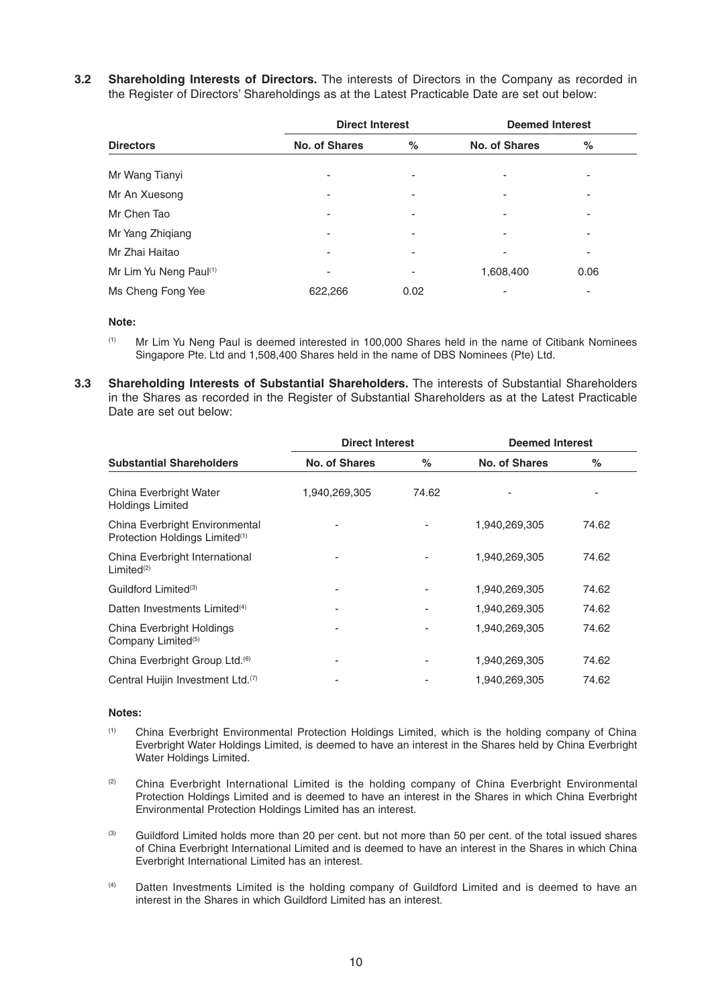**3.2 Shareholding Interests of Directors.** The interests of Directors in the Company as recorded in the Register of Directors' Shareholdings as at the Latest Practicable Date are set out below:

|                        |                          | <b>Direct Interest</b> |                      | <b>Deemed Interest</b> |  |
|------------------------|--------------------------|------------------------|----------------------|------------------------|--|
| <b>Directors</b>       | <b>No. of Shares</b>     | %                      | <b>No. of Shares</b> | %                      |  |
| Mr Wang Tianyi         |                          | -                      |                      |                        |  |
| Mr An Xuesong          | $\overline{\phantom{a}}$ | -                      |                      |                        |  |
| Mr Chen Tao            | $\overline{\phantom{a}}$ | ۰                      | ٠                    |                        |  |
| Mr Yang Zhiqiang       | -                        | -                      |                      |                        |  |
| Mr Zhai Haitao         | ٠                        | ۰                      |                      |                        |  |
| Mr Lim Yu Neng Paul(1) | $\overline{\phantom{a}}$ | -                      | 1,608,400            | 0.06                   |  |
| Ms Cheng Fong Yee      | 622.266                  | 0.02                   |                      |                        |  |

#### **Note:**

- (1) Mr Lim Yu Neng Paul is deemed interested in 100,000 Shares held in the name of Citibank Nominees Singapore Pte. Ltd and 1,508,400 Shares held in the name of DBS Nominees (Pte) Ltd.
- **3.3 Shareholding Interests of Substantial Shareholders.** The interests of Substantial Shareholders in the Shares as recorded in the Register of Substantial Shareholders as at the Latest Practicable Date are set out below:

|                                                                              | <b>Direct Interest</b> |       | <b>Deemed Interest</b> |       |
|------------------------------------------------------------------------------|------------------------|-------|------------------------|-------|
| <b>Substantial Shareholders</b>                                              | No. of Shares          | $\%$  | No. of Shares          | %     |
| China Everbright Water<br><b>Holdings Limited</b>                            | 1,940,269,305          | 74.62 |                        | ۰     |
| China Everbright Environmental<br>Protection Holdings Limited <sup>(1)</sup> |                        |       | 1,940,269,305          | 74.62 |
| China Everbright International<br>Limited <sup>(2)</sup>                     | ۰                      |       | 1,940,269,305          | 74.62 |
| Guildford Limited <sup>(3)</sup>                                             | ۰                      |       | 1,940,269,305          | 74.62 |
| Datten Investments Limited <sup>(4)</sup>                                    |                        |       | 1,940,269,305          | 74.62 |
| China Everbright Holdings<br>Company Limited <sup>(5)</sup>                  | -                      |       | 1,940,269,305          | 74.62 |
| China Everbright Group Ltd. <sup>(6)</sup>                                   | ۰                      |       | 1,940,269,305          | 74.62 |
| Central Huijin Investment Ltd. <sup>(7)</sup>                                |                        |       | 1,940,269,305          | 74.62 |

#### **Notes:**

- (1) China Everbright Environmental Protection Holdings Limited, which is the holding company of China Everbright Water Holdings Limited, is deemed to have an interest in the Shares held by China Everbright Water Holdings Limited.
- <sup>(2)</sup> China Everbright International Limited is the holding company of China Everbright Environmental Protection Holdings Limited and is deemed to have an interest in the Shares in which China Everbright Environmental Protection Holdings Limited has an interest.
- (3) Guildford Limited holds more than 20 per cent. but not more than 50 per cent. of the total issued shares of China Everbright International Limited and is deemed to have an interest in the Shares in which China Everbright International Limited has an interest.
- (4) Datten Investments Limited is the holding company of Guildford Limited and is deemed to have an interest in the Shares in which Guildford Limited has an interest.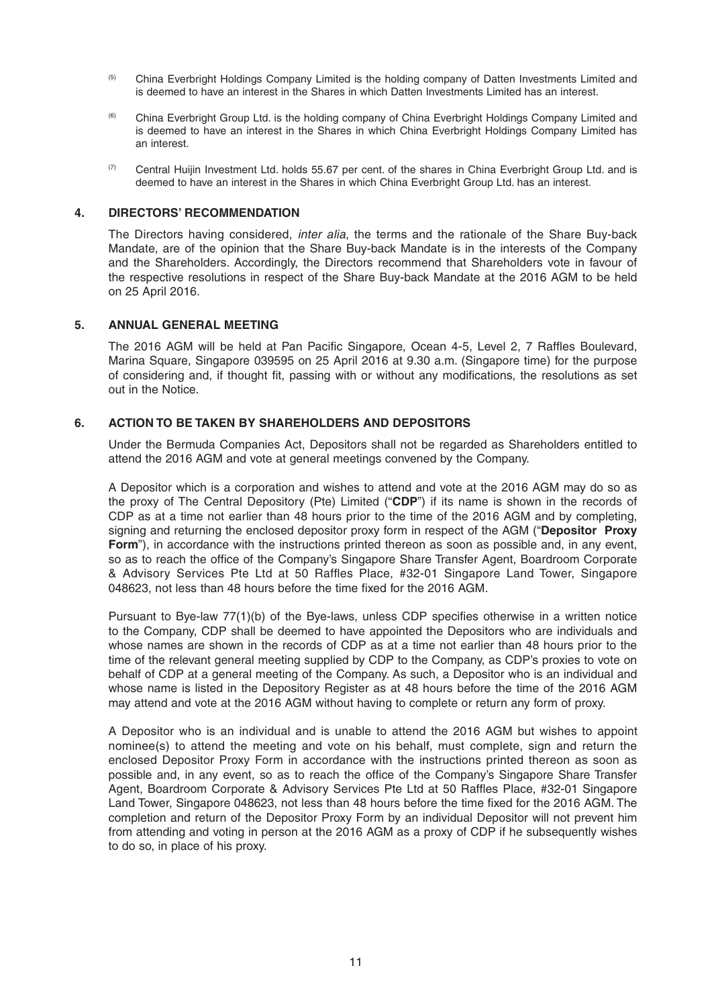- (5) China Everbright Holdings Company Limited is the holding company of Datten Investments Limited and is deemed to have an interest in the Shares in which Datten Investments Limited has an interest.
- (6) China Everbright Group Ltd. is the holding company of China Everbright Holdings Company Limited and is deemed to have an interest in the Shares in which China Everbright Holdings Company Limited has an interest.
- (7) Central Huijin Investment Ltd. holds 55.67 per cent. of the shares in China Everbright Group Ltd. and is deemed to have an interest in the Shares in which China Everbright Group Ltd. has an interest.

#### **4. DIRECTORS' RECOMMENDATION**

The Directors having considered, *inter alia*, the terms and the rationale of the Share Buy-back Mandate, are of the opinion that the Share Buy-back Mandate is in the interests of the Company and the Shareholders. Accordingly, the Directors recommend that Shareholders vote in favour of the respective resolutions in respect of the Share Buy-back Mandate at the 2016 AGM to be held on 25 April 2016.

### **5. ANNUAL GENERAL MEETING**

The 2016 AGM will be held at Pan Pacific Singapore, Ocean 4-5, Level 2, 7 Raffles Boulevard, Marina Square, Singapore 039595 on 25 April 2016 at 9.30 a.m. (Singapore time) for the purpose of considering and, if thought fit, passing with or without any modifications, the resolutions as set out in the Notice.

### **6. ACTION TO BE TAKEN BY SHAREHOLDERS AND DEPOSITORS**

Under the Bermuda Companies Act, Depositors shall not be regarded as Shareholders entitled to attend the 2016 AGM and vote at general meetings convened by the Company.

A Depositor which is a corporation and wishes to attend and vote at the 2016 AGM may do so as the proxy of The Central Depository (Pte) Limited ("**CDP**") if its name is shown in the records of CDP as at a time not earlier than 48 hours prior to the time of the 2016 AGM and by completing, signing and returning the enclosed depositor proxy form in respect of the AGM ("**Depositor Proxy Form**"), in accordance with the instructions printed thereon as soon as possible and, in any event, so as to reach the office of the Company's Singapore Share Transfer Agent, Boardroom Corporate & Advisory Services Pte Ltd at 50 Raffles Place, #32-01 Singapore Land Tower, Singapore 048623, not less than 48 hours before the time fixed for the 2016 AGM.

Pursuant to Bye-law 77(1)(b) of the Bye-laws, unless CDP specifies otherwise in a written notice to the Company, CDP shall be deemed to have appointed the Depositors who are individuals and whose names are shown in the records of CDP as at a time not earlier than 48 hours prior to the time of the relevant general meeting supplied by CDP to the Company, as CDP's proxies to vote on behalf of CDP at a general meeting of the Company. As such, a Depositor who is an individual and whose name is listed in the Depository Register as at 48 hours before the time of the 2016 AGM may attend and vote at the 2016 AGM without having to complete or return any form of proxy.

A Depositor who is an individual and is unable to attend the 2016 AGM but wishes to appoint nominee(s) to attend the meeting and vote on his behalf, must complete, sign and return the enclosed Depositor Proxy Form in accordance with the instructions printed thereon as soon as possible and, in any event, so as to reach the office of the Company's Singapore Share Transfer Agent, Boardroom Corporate & Advisory Services Pte Ltd at 50 Raffles Place, #32-01 Singapore Land Tower, Singapore 048623, not less than 48 hours before the time fixed for the 2016 AGM. The completion and return of the Depositor Proxy Form by an individual Depositor will not prevent him from attending and voting in person at the 2016 AGM as a proxy of CDP if he subsequently wishes to do so, in place of his proxy.